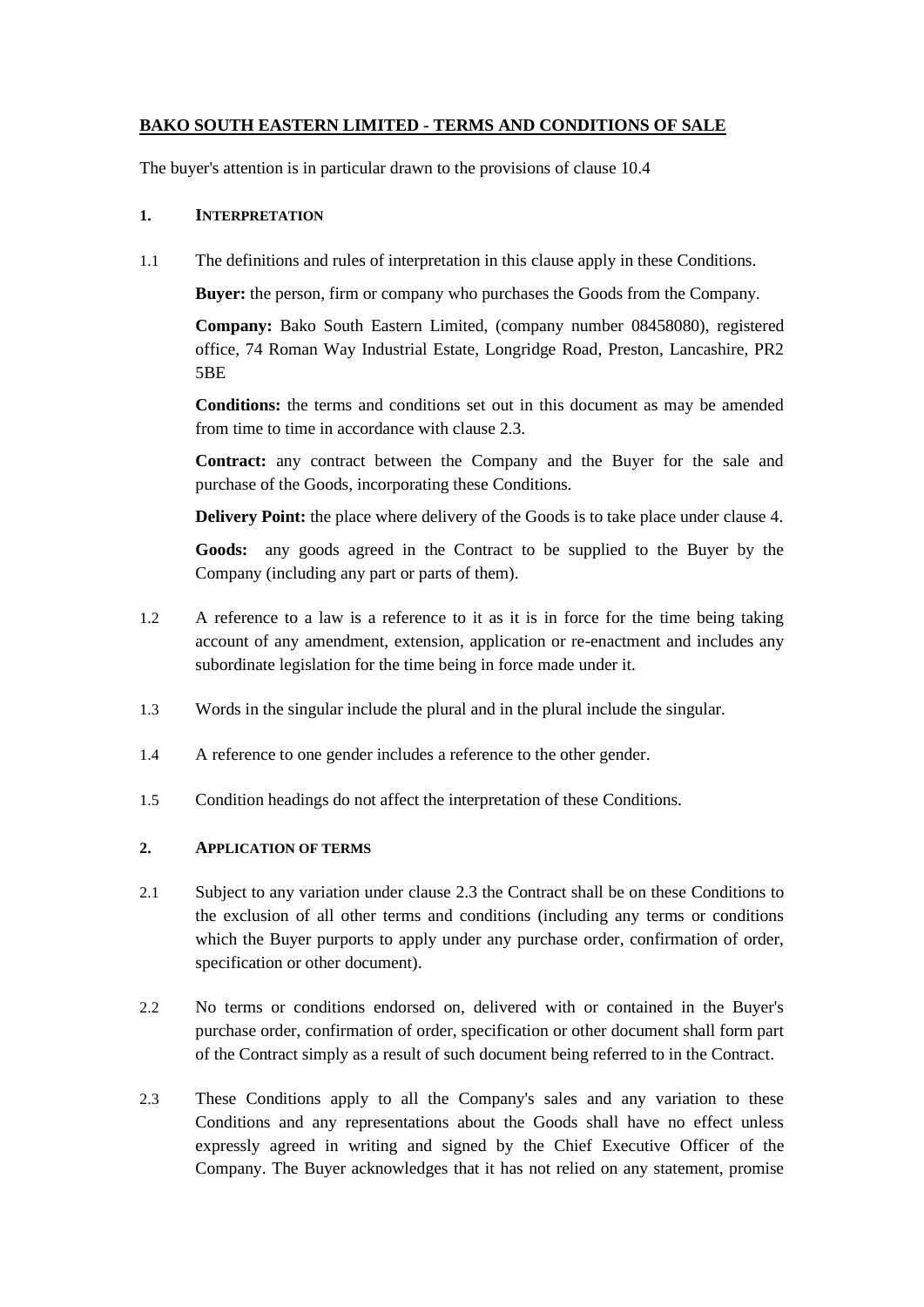# **BAKO SOUTH EASTERN LIMITED - TERMS AND CONDITIONS OF SALE**

The buyer's attention is in particular drawn to the provisions of clause [10.4](#page-7-0)

### **1. INTERPRETATION**

1.1 The definitions and rules of interpretation in this clause apply in these Conditions.

**Buyer:** the person, firm or company who purchases the Goods from the Company.

**Company:** Bako South Eastern Limited, (company number 08458080), registered office, 74 Roman Way Industrial Estate, Longridge Road, Preston, Lancashire, PR2 5BE

**Conditions:** the terms and conditions set out in this document as may be amended from time to time in accordance with clause 2.3.

**Contract:** any contract between the Company and the Buyer for the sale and purchase of the Goods, incorporating these Conditions.

**Delivery Point:** the place where delivery of the Goods is to take place under clause [4.](#page-1-0)

**Goods:** any goods agreed in the Contract to be supplied to the Buyer by the Company (including any part or parts of them).

- 1.2 A reference to a law is a reference to it as it is in force for the time being taking account of any amendment, extension, application or re-enactment and includes any subordinate legislation for the time being in force made under it.
- 1.3 Words in the singular include the plural and in the plural include the singular.
- 1.4 A reference to one gender includes a reference to the other gender.
- 1.5 Condition headings do not affect the interpretation of these Conditions.

#### **2. APPLICATION OF TERMS**

- 2.1 Subject to any variation under clause [2.3](#page-0-0) the Contract shall be on these Conditions to the exclusion of all other terms and conditions (including any terms or conditions which the Buyer purports to apply under any purchase order, confirmation of order, specification or other document).
- 2.2 No terms or conditions endorsed on, delivered with or contained in the Buyer's purchase order, confirmation of order, specification or other document shall form part of the Contract simply as a result of such document being referred to in the Contract.
- <span id="page-0-0"></span>2.3 These Conditions apply to all the Company's sales and any variation to these Conditions and any representations about the Goods shall have no effect unless expressly agreed in writing and signed by the Chief Executive Officer of the Company. The Buyer acknowledges that it has not relied on any statement, promise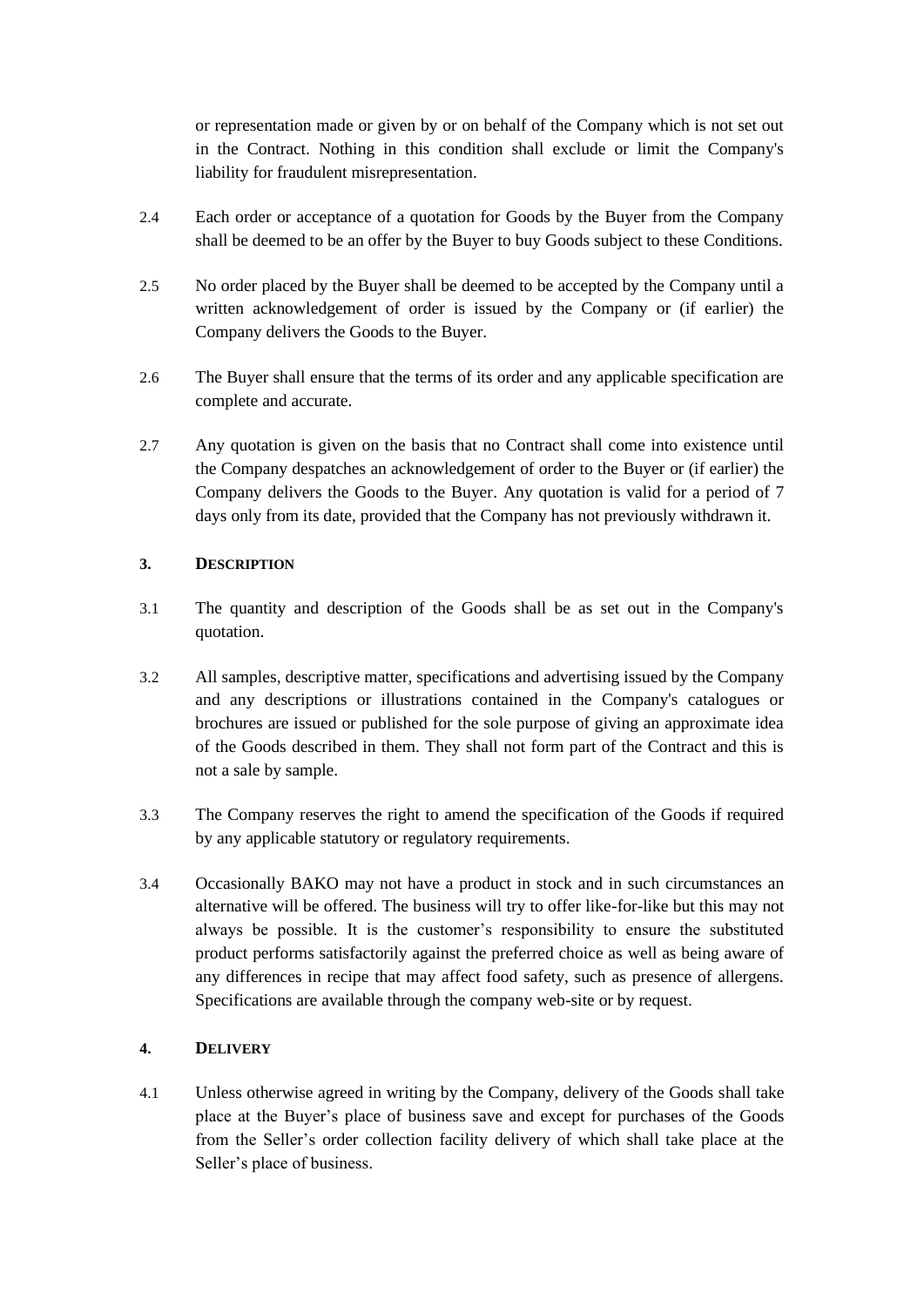or representation made or given by or on behalf of the Company which is not set out in the Contract. Nothing in this condition shall exclude or limit the Company's liability for fraudulent misrepresentation.

- 2.4 Each order or acceptance of a quotation for Goods by the Buyer from the Company shall be deemed to be an offer by the Buyer to buy Goods subject to these Conditions.
- 2.5 No order placed by the Buyer shall be deemed to be accepted by the Company until a written acknowledgement of order is issued by the Company or (if earlier) the Company delivers the Goods to the Buyer.
- 2.6 The Buyer shall ensure that the terms of its order and any applicable specification are complete and accurate.
- 2.7 Any quotation is given on the basis that no Contract shall come into existence until the Company despatches an acknowledgement of order to the Buyer or (if earlier) the Company delivers the Goods to the Buyer. Any quotation is valid for a period of 7 days only from its date, provided that the Company has not previously withdrawn it.

## **3. DESCRIPTION**

- 3.1 The quantity and description of the Goods shall be as set out in the Company's quotation.
- 3.2 All samples, descriptive matter, specifications and advertising issued by the Company and any descriptions or illustrations contained in the Company's catalogues or brochures are issued or published for the sole purpose of giving an approximate idea of the Goods described in them. They shall not form part of the Contract and this is not a sale by sample.
- 3.3 The Company reserves the right to amend the specification of the Goods if required by any applicable statutory or regulatory requirements.
- 3.4 Occasionally BAKO may not have a product in stock and in such circumstances an alternative will be offered. The business will try to offer like-for-like but this may not always be possible. It is the customer's responsibility to ensure the substituted product performs satisfactorily against the preferred choice as well as being aware of any differences in recipe that may affect food safety, such as presence of allergens. Specifications are available through the company web-site or by request.

### <span id="page-1-0"></span>**4. DELIVERY**

4.1 Unless otherwise agreed in writing by the Company, delivery of the Goods shall take place at the Buyer's place of business save and except for purchases of the Goods from the Seller's order collection facility delivery of which shall take place at the Seller's place of business.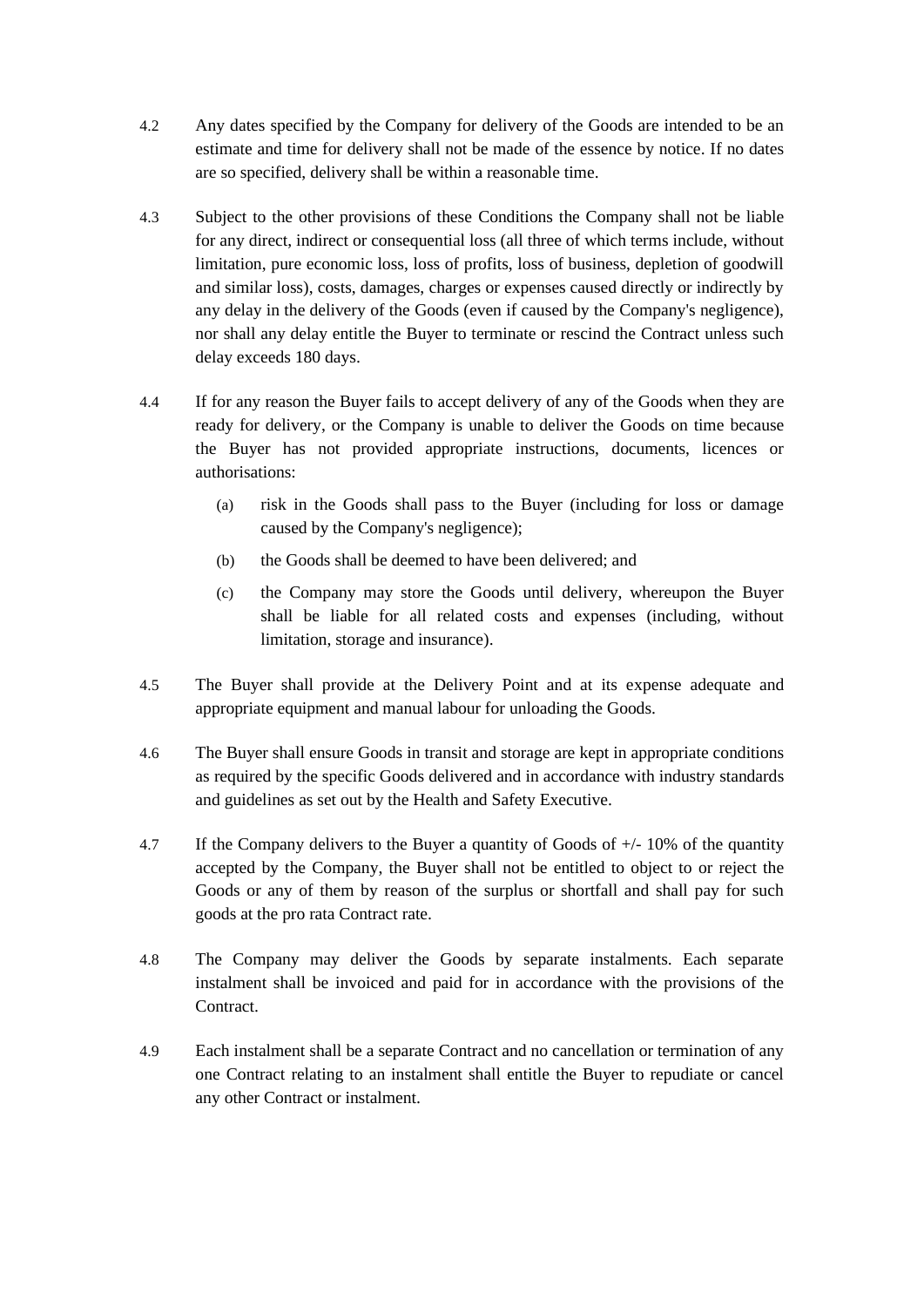- 4.2 Any dates specified by the Company for delivery of the Goods are intended to be an estimate and time for delivery shall not be made of the essence by notice. If no dates are so specified, delivery shall be within a reasonable time.
- 4.3 Subject to the other provisions of these Conditions the Company shall not be liable for any direct, indirect or consequential loss (all three of which terms include, without limitation, pure economic loss, loss of profits, loss of business, depletion of goodwill and similar loss), costs, damages, charges or expenses caused directly or indirectly by any delay in the delivery of the Goods (even if caused by the Company's negligence), nor shall any delay entitle the Buyer to terminate or rescind the Contract unless such delay exceeds 180 days.
- 4.4 If for any reason the Buyer fails to accept delivery of any of the Goods when they are ready for delivery, or the Company is unable to deliver the Goods on time because the Buyer has not provided appropriate instructions, documents, licences or authorisations:
	- (a) risk in the Goods shall pass to the Buyer (including for loss or damage caused by the Company's negligence);
	- (b) the Goods shall be deemed to have been delivered; and
	- (c) the Company may store the Goods until delivery, whereupon the Buyer shall be liable for all related costs and expenses (including, without limitation, storage and insurance).
- 4.5 The Buyer shall provide at the Delivery Point and at its expense adequate and appropriate equipment and manual labour for unloading the Goods.
- 4.6 The Buyer shall ensure Goods in transit and storage are kept in appropriate conditions as required by the specific Goods delivered and in accordance with industry standards and guidelines as set out by the Health and Safety Executive.
- 4.7 If the Company delivers to the Buyer a quantity of Goods of +/- 10% of the quantity accepted by the Company, the Buyer shall not be entitled to object to or reject the Goods or any of them by reason of the surplus or shortfall and shall pay for such goods at the pro rata Contract rate.
- 4.8 The Company may deliver the Goods by separate instalments. Each separate instalment shall be invoiced and paid for in accordance with the provisions of the Contract.
- 4.9 Each instalment shall be a separate Contract and no cancellation or termination of any one Contract relating to an instalment shall entitle the Buyer to repudiate or cancel any other Contract or instalment.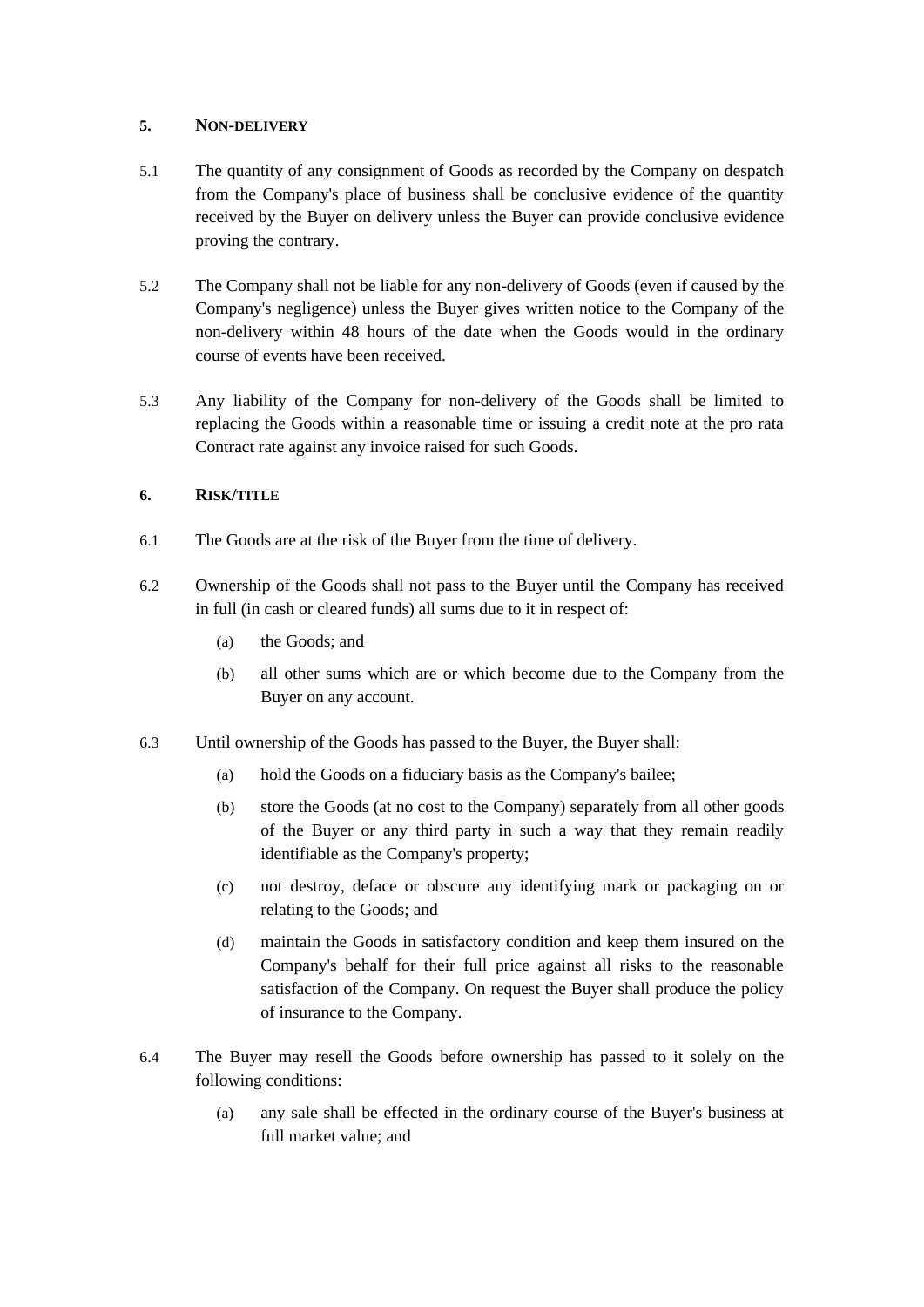## <span id="page-3-1"></span>**5. NON-DELIVERY**

- 5.1 The quantity of any consignment of Goods as recorded by the Company on despatch from the Company's place of business shall be conclusive evidence of the quantity received by the Buyer on delivery unless the Buyer can provide conclusive evidence proving the contrary.
- 5.2 The Company shall not be liable for any non-delivery of Goods (even if caused by the Company's negligence) unless the Buyer gives written notice to the Company of the non-delivery within 48 hours of the date when the Goods would in the ordinary course of events have been received.
- 5.3 Any liability of the Company for non-delivery of the Goods shall be limited to replacing the Goods within a reasonable time or issuing a credit note at the pro rata Contract rate against any invoice raised for such Goods.

# <span id="page-3-0"></span>**6. RISK/TITLE**

- 6.1 The Goods are at the risk of the Buyer from the time of delivery.
- 6.2 Ownership of the Goods shall not pass to the Buyer until the Company has received in full (in cash or cleared funds) all sums due to it in respect of:
	- (a) the Goods; and
	- (b) all other sums which are or which become due to the Company from the Buyer on any account.
- 6.3 Until ownership of the Goods has passed to the Buyer, the Buyer shall:
	- (a) hold the Goods on a fiduciary basis as the Company's bailee;
	- (b) store the Goods (at no cost to the Company) separately from all other goods of the Buyer or any third party in such a way that they remain readily identifiable as the Company's property;
	- (c) not destroy, deface or obscure any identifying mark or packaging on or relating to the Goods; and
	- (d) maintain the Goods in satisfactory condition and keep them insured on the Company's behalf for their full price against all risks to the reasonable satisfaction of the Company. On request the Buyer shall produce the policy of insurance to the Company.
- 6.4 The Buyer may resell the Goods before ownership has passed to it solely on the following conditions:
	- (a) any sale shall be effected in the ordinary course of the Buyer's business at full market value; and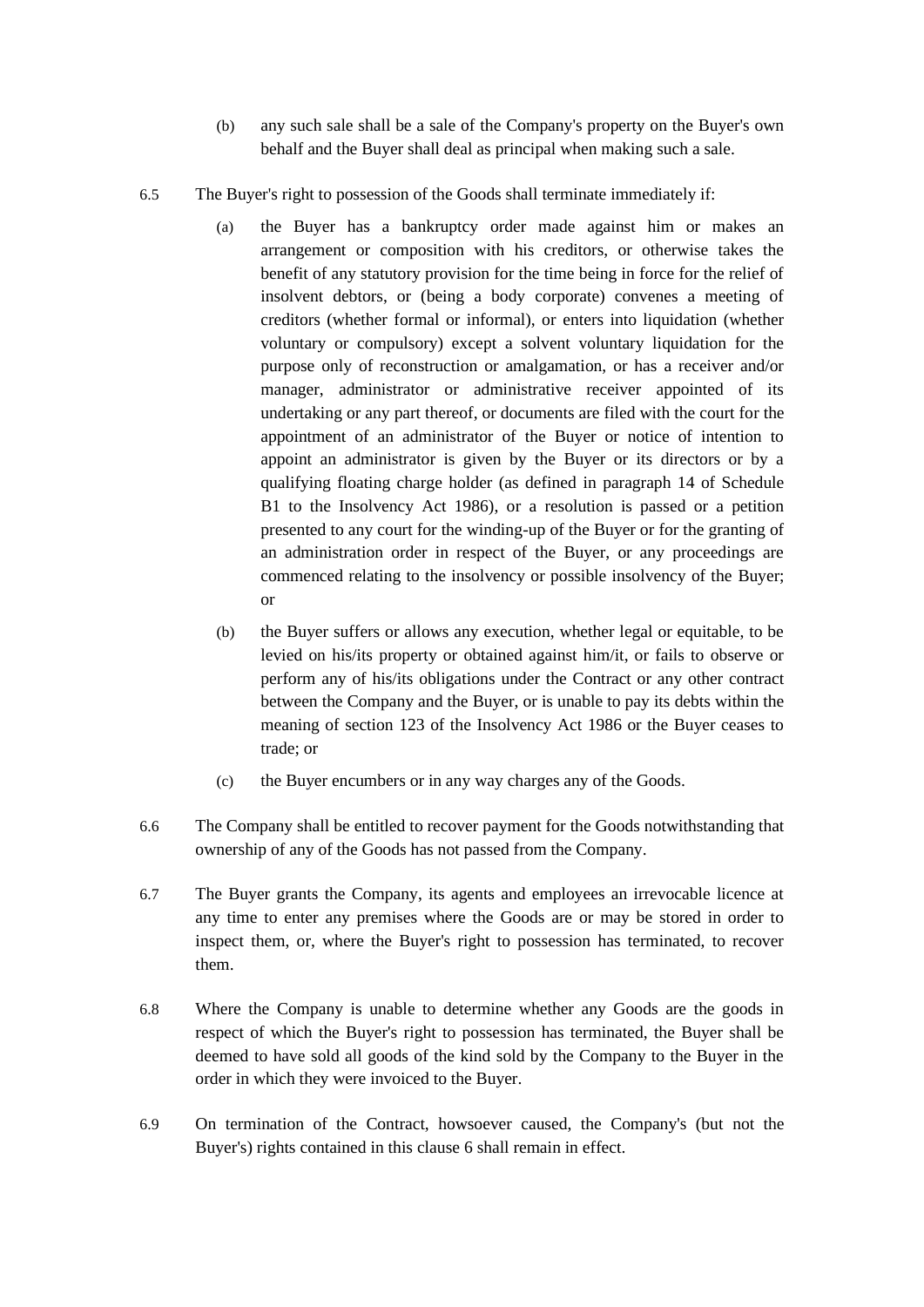- (b) any such sale shall be a sale of the Company's property on the Buyer's own behalf and the Buyer shall deal as principal when making such a sale.
- 6.5 The Buyer's right to possession of the Goods shall terminate immediately if:
	- (a) the Buyer has a bankruptcy order made against him or makes an arrangement or composition with his creditors, or otherwise takes the benefit of any statutory provision for the time being in force for the relief of insolvent debtors, or (being a body corporate) convenes a meeting of creditors (whether formal or informal), or enters into liquidation (whether voluntary or compulsory) except a solvent voluntary liquidation for the purpose only of reconstruction or amalgamation, or has a receiver and/or manager, administrator or administrative receiver appointed of its undertaking or any part thereof, or documents are filed with the court for the appointment of an administrator of the Buyer or notice of intention to appoint an administrator is given by the Buyer or its directors or by a qualifying floating charge holder (as defined in paragraph 14 of Schedule B1 to the Insolvency Act 1986), or a resolution is passed or a petition presented to any court for the winding-up of the Buyer or for the granting of an administration order in respect of the Buyer, or any proceedings are commenced relating to the insolvency or possible insolvency of the Buyer; or
	- (b) the Buyer suffers or allows any execution, whether legal or equitable, to be levied on his/its property or obtained against him/it, or fails to observe or perform any of his/its obligations under the Contract or any other contract between the Company and the Buyer, or is unable to pay its debts within the meaning of section 123 of the Insolvency Act 1986 or the Buyer ceases to trade; or
	- (c) the Buyer encumbers or in any way charges any of the Goods.
- 6.6 The Company shall be entitled to recover payment for the Goods notwithstanding that ownership of any of the Goods has not passed from the Company.
- 6.7 The Buyer grants the Company, its agents and employees an irrevocable licence at any time to enter any premises where the Goods are or may be stored in order to inspect them, or, where the Buyer's right to possession has terminated, to recover them.
- 6.8 Where the Company is unable to determine whether any Goods are the goods in respect of which the Buyer's right to possession has terminated, the Buyer shall be deemed to have sold all goods of the kind sold by the Company to the Buyer in the order in which they were invoiced to the Buyer.
- 6.9 On termination of the Contract, howsoever caused, the Company's (but not the Buyer's) rights contained in this clause [6](#page-3-0) shall remain in effect.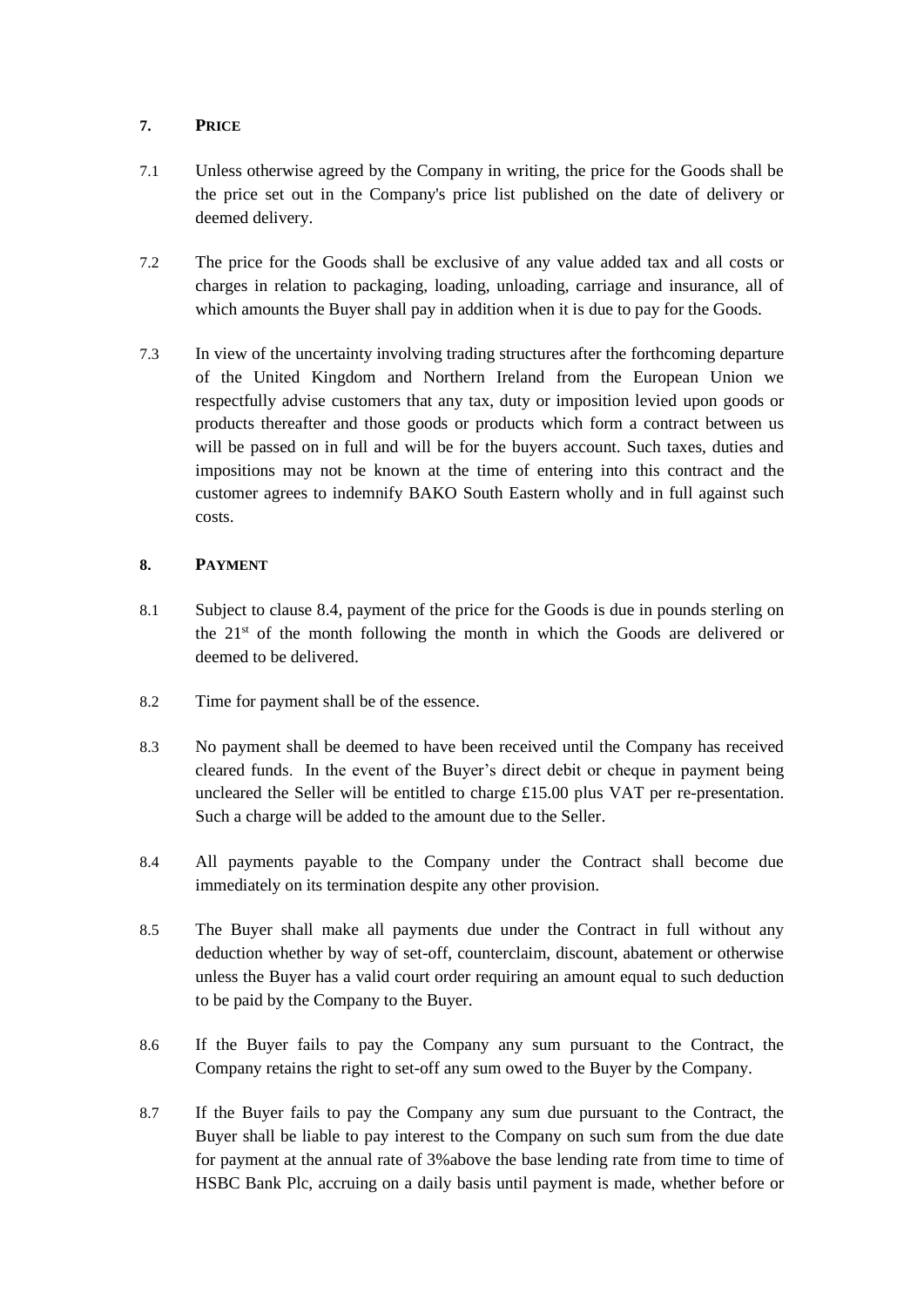# **7. PRICE**

- 7.1 Unless otherwise agreed by the Company in writing, the price for the Goods shall be the price set out in the Company's price list published on the date of delivery or deemed delivery.
- 7.2 The price for the Goods shall be exclusive of any value added tax and all costs or charges in relation to packaging, loading, unloading, carriage and insurance, all of which amounts the Buyer shall pay in addition when it is due to pay for the Goods.
- 7.3 In view of the uncertainty involving trading structures after the forthcoming departure of the United Kingdom and Northern Ireland from the European Union we respectfully advise customers that any tax, duty or imposition levied upon goods or products thereafter and those goods or products which form a contract between us will be passed on in full and will be for the buyers account. Such taxes, duties and impositions may not be known at the time of entering into this contract and the customer agrees to indemnify BAKO South Eastern wholly and in full against such costs.

# **8. PAYMENT**

- 8.1 Subject to clause [8.4,](#page-5-0) payment of the price for the Goods is due in pounds sterling on the  $21<sup>st</sup>$  of the month following the month in which the Goods are delivered or deemed to be delivered.
- 8.2 Time for payment shall be of the essence.
- 8.3 No payment shall be deemed to have been received until the Company has received cleared funds. In the event of the Buyer's direct debit or cheque in payment being uncleared the Seller will be entitled to charge £15.00 plus VAT per re-presentation. Such a charge will be added to the amount due to the Seller.
- <span id="page-5-0"></span>8.4 All payments payable to the Company under the Contract shall become due immediately on its termination despite any other provision.
- 8.5 The Buyer shall make all payments due under the Contract in full without any deduction whether by way of set-off, counterclaim, discount, abatement or otherwise unless the Buyer has a valid court order requiring an amount equal to such deduction to be paid by the Company to the Buyer.
- 8.6 If the Buyer fails to pay the Company any sum pursuant to the Contract, the Company retains the right to set-off any sum owed to the Buyer by the Company.
- 8.7 If the Buyer fails to pay the Company any sum due pursuant to the Contract, the Buyer shall be liable to pay interest to the Company on such sum from the due date for payment at the annual rate of 3%above the base lending rate from time to time of HSBC Bank Plc, accruing on a daily basis until payment is made, whether before or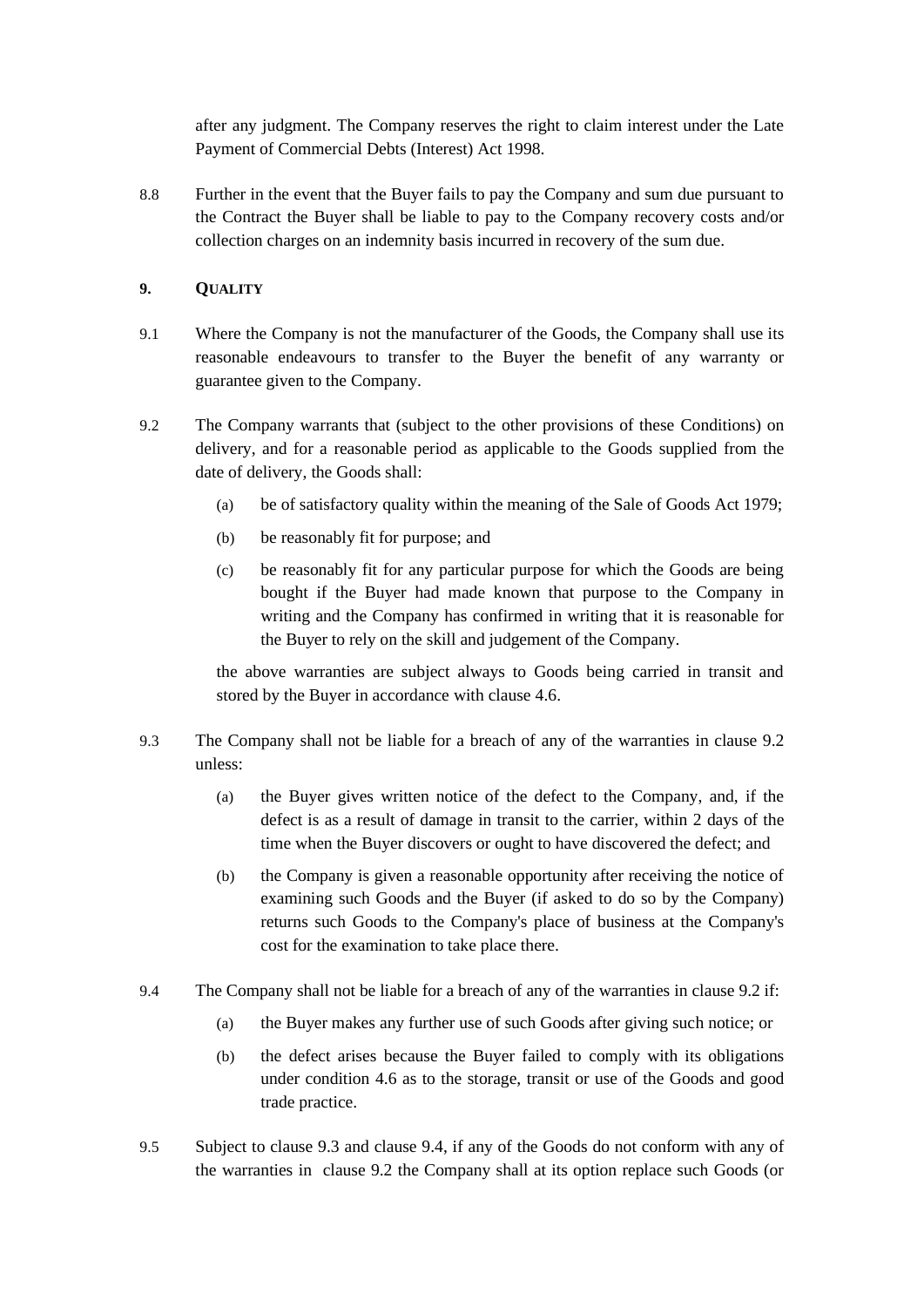after any judgment. The Company reserves the right to claim interest under the Late Payment of Commercial Debts (Interest) Act 1998.

8.8 Further in the event that the Buyer fails to pay the Company and sum due pursuant to the Contract the Buyer shall be liable to pay to the Company recovery costs and/or collection charges on an indemnity basis incurred in recovery of the sum due.

## <span id="page-6-4"></span>**9. QUALITY**

- 9.1 Where the Company is not the manufacturer of the Goods, the Company shall use its reasonable endeavours to transfer to the Buyer the benefit of any warranty or guarantee given to the Company.
- <span id="page-6-0"></span>9.2 The Company warrants that (subject to the other provisions of these Conditions) on delivery, and for a reasonable period as applicable to the Goods supplied from the date of delivery, the Goods shall:
	- (a) be of satisfactory quality within the meaning of the Sale of Goods Act 1979;
	- (b) be reasonably fit for purpose; and
	- (c) be reasonably fit for any particular purpose for which the Goods are being bought if the Buyer had made known that purpose to the Company in writing and the Company has confirmed in writing that it is reasonable for the Buyer to rely on the skill and judgement of the Company.

the above warranties are subject always to Goods being carried in transit and stored by the Buyer in accordance with clause 4.6.

- <span id="page-6-1"></span>9.3 The Company shall not be liable for a breach of any of the warranties in clause [9.2](#page-6-0) unless:
	- (a) the Buyer gives written notice of the defect to the Company, and, if the defect is as a result of damage in transit to the carrier, within 2 days of the time when the Buyer discovers or ought to have discovered the defect; and
	- (b) the Company is given a reasonable opportunity after receiving the notice of examining such Goods and the Buyer (if asked to do so by the Company) returns such Goods to the Company's place of business at the Company's cost for the examination to take place there.
- <span id="page-6-2"></span>9.4 The Company shall not be liable for a breach of any of the warranties in clause [9.2](#page-6-0) if:
	- (a) the Buyer makes any further use of such Goods after giving such notice; or
	- (b) the defect arises because the Buyer failed to comply with its obligations under condition 4.6 as to the storage, transit or use of the Goods and good trade practice.
- <span id="page-6-3"></span>9.5 Subject to clause [9.3](#page-6-1) and clause [9.4,](#page-6-2) if any of the Goods do not conform with any of the warranties in clause [9.2](#page-6-0) the Company shall at its option replace such Goods (or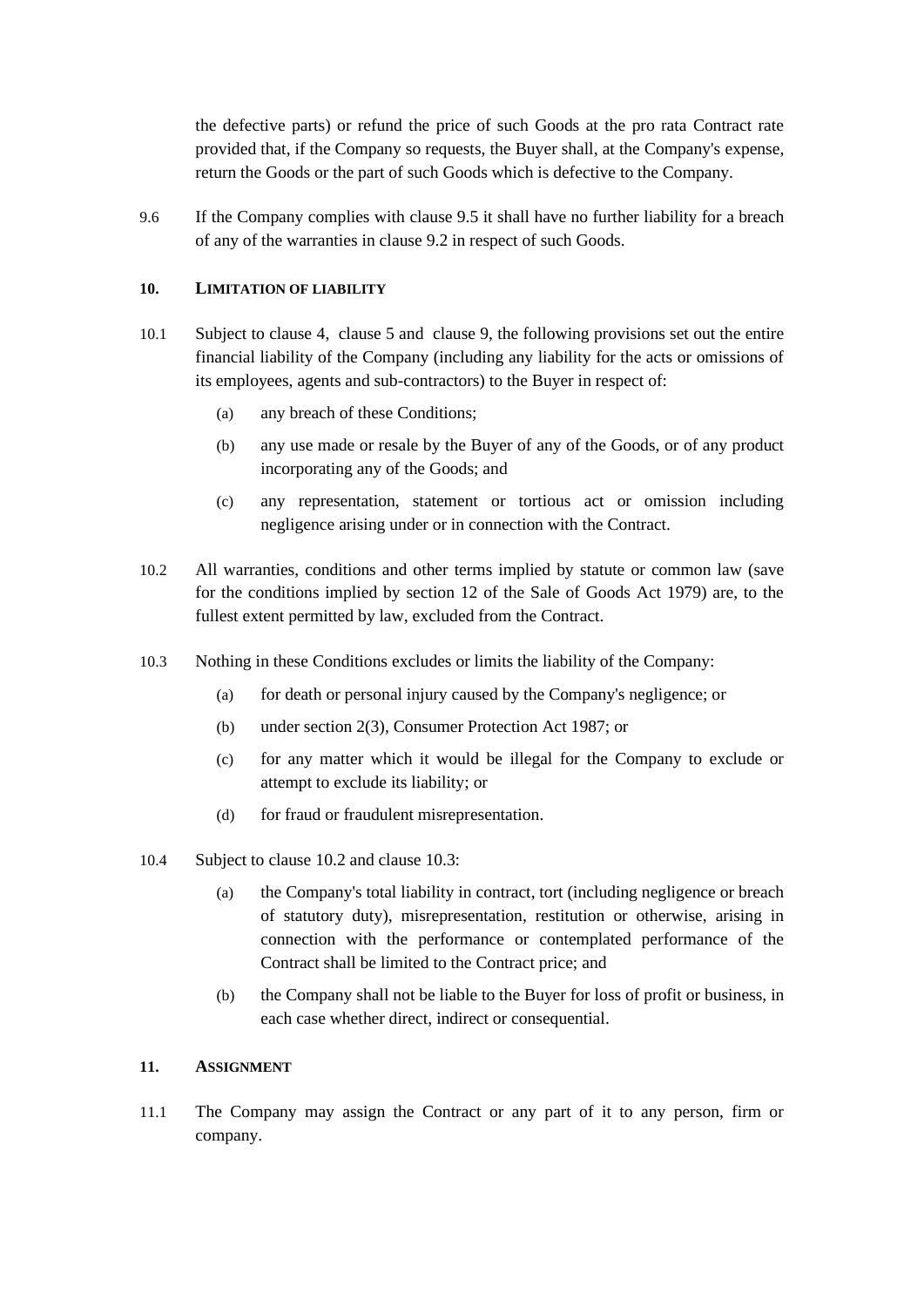the defective parts) or refund the price of such Goods at the pro rata Contract rate provided that, if the Company so requests, the Buyer shall, at the Company's expense, return the Goods or the part of such Goods which is defective to the Company.

9.6 If the Company complies with clause [9.5](#page-6-3) it shall have no further liability for a breach of any of the warranties in clause [9.2](#page-6-0) in respect of such Goods.

#### **10. LIMITATION OF LIABILITY**

- 10.1 Subject to clause [4,](#page-1-0) clause [5](#page-3-1) and clause [9,](#page-6-4) the following provisions set out the entire financial liability of the Company (including any liability for the acts or omissions of its employees, agents and sub-contractors) to the Buyer in respect of:
	- (a) any breach of these Conditions;
	- (b) any use made or resale by the Buyer of any of the Goods, or of any product incorporating any of the Goods; and
	- (c) any representation, statement or tortious act or omission including negligence arising under or in connection with the Contract.
- <span id="page-7-1"></span>10.2 All warranties, conditions and other terms implied by statute or common law (save for the conditions implied by section 12 of the Sale of Goods Act 1979) are, to the fullest extent permitted by law, excluded from the Contract.
- <span id="page-7-2"></span>10.3 Nothing in these Conditions excludes or limits the liability of the Company:
	- (a) for death or personal injury caused by the Company's negligence; or
	- (b) under section 2(3), Consumer Protection Act 1987; or
	- (c) for any matter which it would be illegal for the Company to exclude or attempt to exclude its liability; or
	- (d) for fraud or fraudulent misrepresentation.
- <span id="page-7-0"></span>10.4 Subject to clause [10.2](#page-7-1) and clause [10.3:](#page-7-2)
	- (a) the Company's total liability in contract, tort (including negligence or breach of statutory duty), misrepresentation, restitution or otherwise, arising in connection with the performance or contemplated performance of the Contract shall be limited to the Contract price; and
	- (b) the Company shall not be liable to the Buyer for loss of profit or business, in each case whether direct, indirect or consequential.

### **11. ASSIGNMENT**

11.1 The Company may assign the Contract or any part of it to any person, firm or company.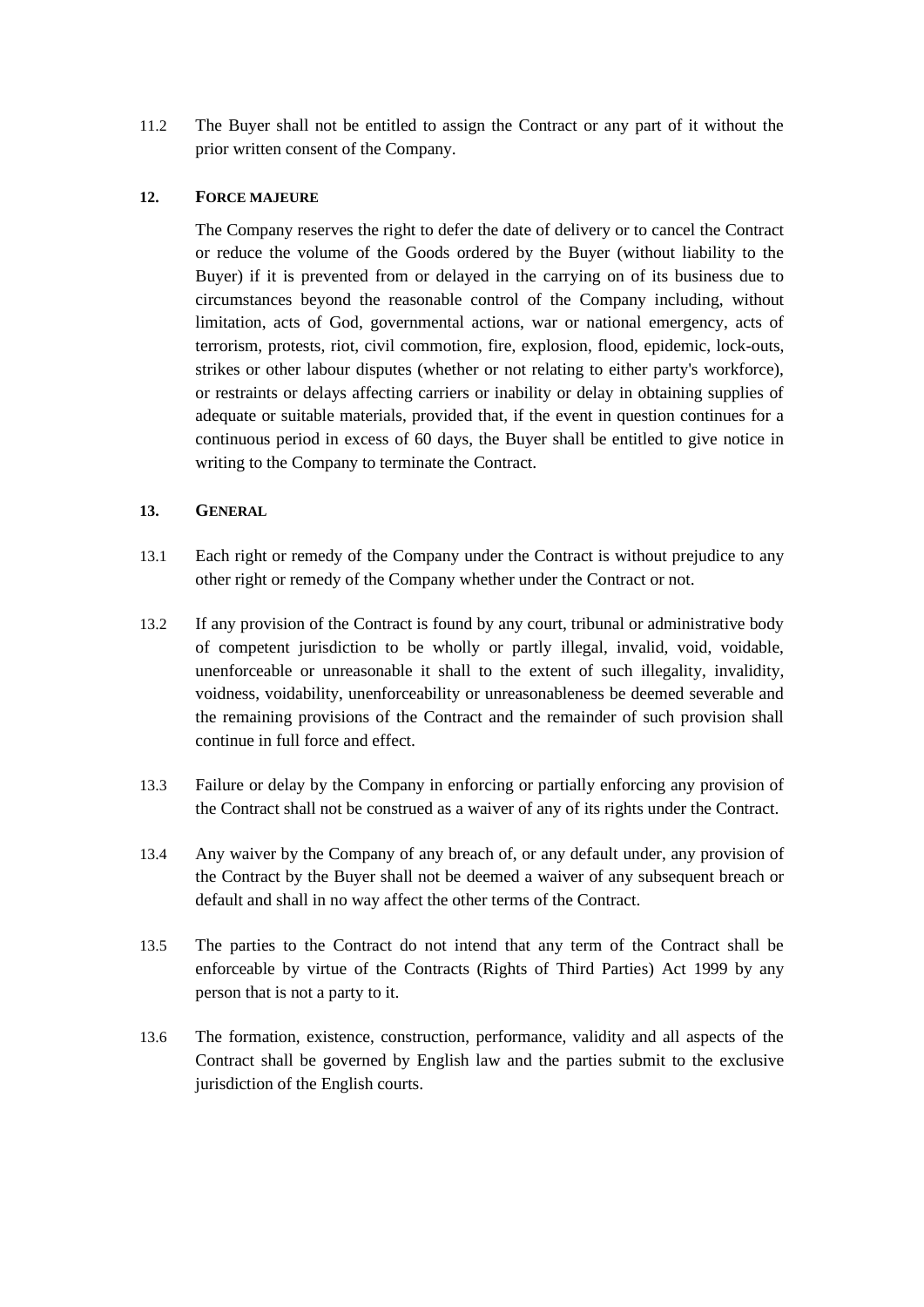11.2 The Buyer shall not be entitled to assign the Contract or any part of it without the prior written consent of the Company.

### **12. FORCE MAJEURE**

The Company reserves the right to defer the date of delivery or to cancel the Contract or reduce the volume of the Goods ordered by the Buyer (without liability to the Buyer) if it is prevented from or delayed in the carrying on of its business due to circumstances beyond the reasonable control of the Company including, without limitation, acts of God, governmental actions, war or national emergency, acts of terrorism, protests, riot, civil commotion, fire, explosion, flood, epidemic, lock-outs, strikes or other labour disputes (whether or not relating to either party's workforce), or restraints or delays affecting carriers or inability or delay in obtaining supplies of adequate or suitable materials, provided that, if the event in question continues for a continuous period in excess of 60 days, the Buyer shall be entitled to give notice in writing to the Company to terminate the Contract.

# **13. GENERAL**

- 13.1 Each right or remedy of the Company under the Contract is without prejudice to any other right or remedy of the Company whether under the Contract or not.
- 13.2 If any provision of the Contract is found by any court, tribunal or administrative body of competent jurisdiction to be wholly or partly illegal, invalid, void, voidable, unenforceable or unreasonable it shall to the extent of such illegality, invalidity, voidness, voidability, unenforceability or unreasonableness be deemed severable and the remaining provisions of the Contract and the remainder of such provision shall continue in full force and effect.
- 13.3 Failure or delay by the Company in enforcing or partially enforcing any provision of the Contract shall not be construed as a waiver of any of its rights under the Contract.
- 13.4 Any waiver by the Company of any breach of, or any default under, any provision of the Contract by the Buyer shall not be deemed a waiver of any subsequent breach or default and shall in no way affect the other terms of the Contract.
- 13.5 The parties to the Contract do not intend that any term of the Contract shall be enforceable by virtue of the Contracts (Rights of Third Parties) Act 1999 by any person that is not a party to it.
- 13.6 The formation, existence, construction, performance, validity and all aspects of the Contract shall be governed by English law and the parties submit to the exclusive jurisdiction of the English courts.